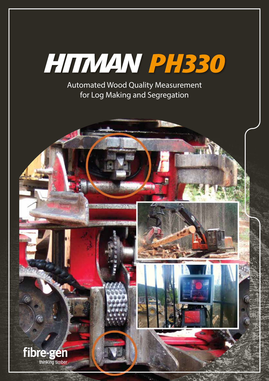

Automated Wood Quality Measurement for Log Making and Segregation